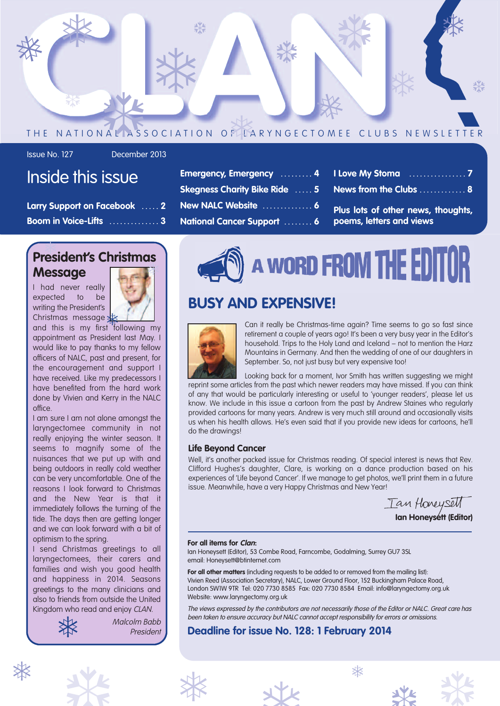

Issue No. 127 December 2013

# Inside this issue

| Larry Support on Facebook Asset 2            |  |
|----------------------------------------------|--|
| Boom in Voice-Lifts $\dots\dots\dots\dots$ 3 |  |

### **President's Christmas Message** ❅ ।<br>প

I had never really expected to be writing the President's Christmas message



and this is my first following my appointment as President last May. I would like to pay thanks to my fellow officers of NALC, past and present, for the encouragement and support I have received. Like my predecessors I have benefited from the hard work done by Vivien and Kerry in the NALC office.

I am sure I am not alone amongst the laryngectomee community in not really enjoying the winter season. It seems to magnify some of the nuisances that we put up with and being outdoors in really cold weather can be very uncomfortable. One of the reasons I look forward to Christmas and the New Year is that it immediately follows the turning of the tide. The days then are getting longer and we can look forward with a bit of optimism to the spring.

I send Christmas greetings to all laryngectomees, their carers and families and wish you good health and happiness in 2014. Seasons greetings to the many clinicians and also to friends from outside the United



Kingdom who read and enjoy CLAN.<br>Malcolm Ba.<br>Preside Malcolm Babb President

| Emergency, Emergency  4 I Love My Stoma              |                                                     |  |
|------------------------------------------------------|-----------------------------------------------------|--|
| Skegness Charity Bike Ride  5 News from the Clubs    |                                                     |  |
|                                                      | New NALC Website  6 Plus lots of other news, though |  |
| National Cancer Support  6  poems, letters and views |                                                     |  |

A WORD FROM THE EDIT

# **BUSY AND EXPENSIVE!**



Can it really be Christmas-time again? Time seems to go so fast since retirement a couple of years ago! It's been a very busy year in the Editor's household. Trips to the Holy Land and Iceland – not to mention the Harz Mountains in Germany. And then the wedding of one of our daughters in September. So, not just busy but very expensive too!

Looking back for a moment, Ivor Smith has written suggesting we might reprint some articles from the past which newer readers may have missed. If you can think of any that would be particularly interesting or useful to 'younger readers', please let us know. We include in this issue a cartoon from the past by Andrew Staines who regularly provided cartoons for many years. Andrew is very much still around and occasionally visits us when his health allows. He's even said that if you provide new ideas for cartoons, he'll do the drawings!

### **Life Beyond Cancer**

Well, it's another packed issue for Christmas reading. Of special interest is news that Rev. Clifford Hughes's daughter, Clare, is working on a dance production based on his experiences of 'Life beyond Cancer'. If we manage to get photos, we'll print them in a future issue. Meanwhile, have a very Happy Christmas and New Year!

Ian Honeysett **Ian Honeysett (Editor)**

**I Love My Stoma . . . . . . . . . . . . . . . . 7**

*<u>Example</u>* **<b>Produce news, thoughts,** 

### **For all items for Clan:**

Ian Honeysett (Editor), 53 Combe Road, Farncombe, Godalming, Surrey GU7 3SL email: Honeysett@btinternet.com

**For all other matters** (including requests to be added to or removed from the mailing list): Vivien Reed (Association Secretary), NALC, Lower Ground Floor, 152 Buckingham Palace Road, London SW1W 9TR Tel: 020 7730 8585 Fax: 020 7730 8584 Email: info@laryngectomy.org.uk Website: www.laryngectomy.org.uk

The views expressed by the contributors are not necessarily those of the Editor or NALC. Great care has been taken to ensure accuracy but NALC cannot accept responsibility for errors or omissions.

# **Deadline for issue No. 128: 1 February 2014**





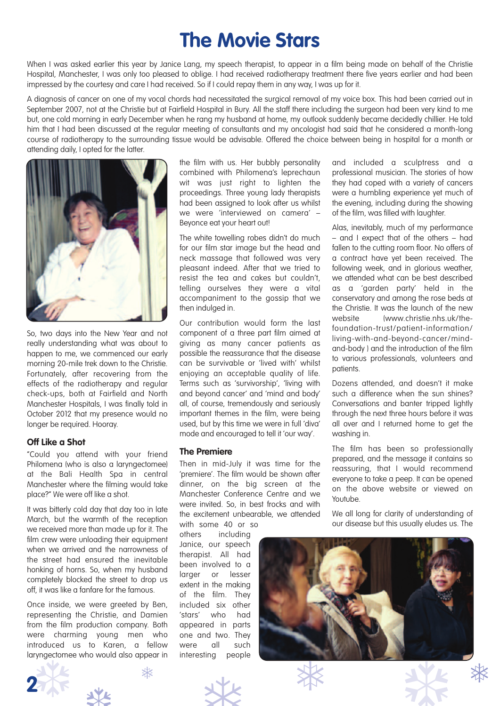# **The Movie Stars**

When I was asked earlier this year by Janice Lang, my speech therapist, to appear in a film being made on behalf of the Christie Hospital, Manchester, I was only too pleased to oblige. I had received radiotherapy treatment there five years earlier and had been impressed by the courtesy and care I had received. So if I could repay them in any way, I was up for it.

A diagnosis of cancer on one of my vocal chords had necessitated the surgical removal of my voice box. This had been carried out in September 2007, not at the Christie but at Fairfield Hospital in Bury. All the staff there including the surgeon had been very kind to me but, one cold morning in early December when he rang my husband at home, my outlook suddenly became decidedly chillier. He told him that I had been discussed at the regular meeting of consultants and my oncologist had said that he considered a month-long course of radiotherapy to the surrounding tissue would be advisable. Offered the choice between being in hospital for a month or attending daily, I opted for the latter.



So, two days into the New Year and not really understanding what was about to happen to me, we commenced our early morning 20-mile trek down to the Christie. Fortunately, after recovering from the effects of the radiotherapy and regular check-ups, both at Fairfield and North Manchester Hospitals, I was finally told in October 2012 that my presence would no longer be required. Hooray.

### **Off Like a Shot**

"Could you attend with your friend Philomena (who is also a laryngectomee) at the Bali Health Spa in central Manchester where the filming would take place?" We were off like a shot.

It was bitterly cold day that day too in late March, but the warmth of the reception we received more than made up for it. The film crew were unloading their equipment when we arrived and the narrowness of the street had ensured the inevitable honking of horns. So, when my husband completely blocked the street to drop us off, it was like a fanfare for the famous.

Once inside, we were greeted by Ben, representing the Christie, and Damien from the film production company. Both were charming young men who introduced us to Karen, a fellow laryngectomee who would also appear in the film with us. Her bubbly personality combined with Philomena's leprechaun wit was just right to lighten the proceedings. Three young lady therapists had been assigned to look after us whilst we were 'interviewed on camera' – Beyonce eat your heart out!

The white towelling robes didn't do much for our film star image but the head and neck massage that followed was very pleasant indeed. After that we tried to resist the tea and cakes but couldn't, telling ourselves they were a vital accompaniment to the gossip that we then indulged in.

Our contribution would form the last component of a three part film aimed at giving as many cancer patients as possible the reassurance that the disease can be survivable or 'lived with' whilst enjoying an acceptable quality of life. Terms such as 'survivorship', 'living with and beyond cancer' and 'mind and body' all, of course, tremendously and seriously important themes in the film, were being used, but by this time we were in full 'diva' mode and encouraged to tell it 'our way'.

### **The Premiere**

Then in mid-July it was time for the 'premiere'. The film would be shown after dinner, on the big screen at the Manchester Conference Centre and we were invited. So, in best frocks and with the excitement unbearable, we attended with some 40 or so

others including Janice, our speech therapist. All had been involved to a larger or lesser extent in the making of the film. They included six other 'stars' who had appeared in parts one and two. They were all such interesting people

and included a sculptress and a professional musician. The stories of how they had coped with a variety of cancers were a humbling experience yet much of the evening, including during the showing of the film, was filled with laughter.

Alas, inevitably, much of my performance – and I expect that of the others – had fallen to the cutting room floor. No offers of a contract have yet been received. The following week, and in glorious weather, we attended what can be best described as a 'garden party' held in the conservatory and among the rose beds at the Christie. It was the launch of the new website (www.christie.nhs.uk/thefoundation-trust/patient-information/ living-with-and-beyond-cancer/mindand-body ) and the introduction of the film to various professionals, volunteers and patients.

Dozens attended, and doesn't it make such a difference when the sun shines? Conversations and banter tripped lightly through the next three hours before it was all over and I returned home to get the washing in.

The film has been so professionally prepared, and the message it contains so reassuring, that I would recommend everyone to take a peep. It can be opened on the above website or viewed on Youtube.

We all long for clarity of understanding of our disease but this usually eludes us. The





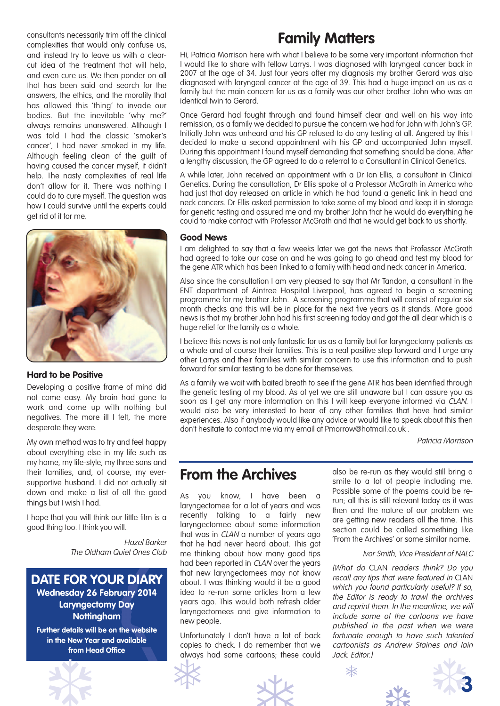consultants necessarily trim off the clinical complexities that would only confuse us, and instead try to leave us with a clearcut idea of the treatment that will help, and even cure us. We then ponder on all that has been said and search for the answers, the ethics, and the morality that has allowed this 'thing' to invade our bodies. But the inevitable 'why me?' always remains unanswered. Although I was told I had the classic 'smoker's cancer', I had never smoked in my life. Although feeling clean of the guilt of having caused the cancer myself, it didn't help. The nasty complexities of real life don't allow for it. There was nothing I could do to cure myself. The question was how I could survive until the experts could get rid of it for me.



### **Hard to be Positive**

Developing a positive frame of mind did not come easy. My brain had gone to work and come up with nothing but negatives. The more ill I felt, the more desperate they were.

My own method was to try and feel happy about everything else in my life such as my home, my life-style, my three sons and their families, and, of course, my eversupportive husband. I did not actually sit down and make a list of all the good things but I wish I had.

I hope that you will think our little film is a good thing too. I think you will.

> Hazel Barker The Oldham Quiet Ones Club

**DATE FOR YOUR DIARY Wednesday 26 February 2014 Laryngectomy Day Nottingham**

**Further details will be on the website in the New Year and available from Head Office**

# **Family Matters**

Hi, Patricia Morrison here with what I believe to be some very important information that I would like to share with fellow Larrys. I was diagnosed with laryngeal cancer back in 2007 at the age of 34. Just four years after my diagnosis my brother Gerard was also diagnosed with laryngeal cancer at the age of 39. This had a huge impact on us as a family but the main concern for us as a family was our other brother John who was an identical twin to Gerard.

Once Gerard had fought through and found himself clear and well on his way into remission, as a family we decided to pursue the concern we had for John with John's GP. Initially John was unheard and his GP refused to do any testing at all. Angered by this I decided to make a second appointment with his GP and accompanied John myself. During this appointment I found myself demanding that something should be done. After a lengthy discussion, the GP agreed to do a referral to a Consultant in Clinical Genetics.

A while later, John received an appointment with a Dr Ian Ellis, a consultant in Clinical Genetics. During the consultation, Dr Ellis spoke of a Professor McGrath in America who had just that day released an article in which he had found a genetic link in head and neck cancers. Dr Ellis asked permission to take some of my blood and keep it in storage for genetic testing and assured me and my brother John that he would do everything he could to make contact with Professor McGrath and that he would get back to us shortly.

### **Good News**

I am delighted to say that a few weeks later we got the news that Professor McGrath had agreed to take our case on and he was going to go ahead and test my blood for the gene ATR which has been linked to a family with head and neck cancer in America.

Also since the consultation I am very pleased to say that Mr Tandon, a consultant in the ENT department of Aintree Hospital Liverpool, has agreed to begin a screening programme for my brother John. A screening programme that will consist of regular six month checks and this will be in place for the next five years as it stands. More good news is that my brother John had his first screening today and got the all clear which is a huge relief for the family as a whole.

I believe this news is not only fantastic for us as a family but for laryngectomy patients as a whole and of course their families. This is a real positive step forward and I urge any other Larrys and their families with similar concern to use this information and to push forward for similar testing to be done for themselves.

As a family we wait with baited breath to see if the gene ATR has been identified through the genetic testing of my blood. As of yet we are still unaware but I can assure you as soon as I get any more information on this I will keep everyone informed via CLAN. I would also be very interested to hear of any other families that have had similar experiences. Also if anybody would like any advice or would like to speak about this then don't hesitate to contact me via my email at Pmorrow@hotmail.co.uk .

Patricia Morrison

# **From the Archives**

As you know, I have been a laryngectomee for a lot of years and was recently talking to a fairly new laryngectomee about some information that was in CLAN a number of years ago that he had never heard about. This got me thinking about how many good tips had been reported in CLAN over the years that new laryngectomees may not know about. I was thinking would it be a good idea to re-run some articles from a few years ago. This would both refresh older laryngectomees and give information to new people.

Unfortunately I don't have a lot of back copies to check. I do remember that we always had some cartoons; these could In the New Year and available<br>
from Head Office<br>
The Copies to check. I do remember that we cartoon<br>
always had some cartoons; these could<br>
Jack. Ed

also be re-run as they would still bring a smile to a lot of people including me. Possible some of the poems could be rerun; all this is still relevant today as it was then and the nature of our problem we are getting new readers all the time. This section could be called something like 'From the Archives' or some similar name.

### Ivor Smith, Vice President of NALC

(What do CLAN readers think? Do you recall any tips that were featured in CLAN which you found particularly useful? If so, the Editor is ready to trawl the archives and reprint them. In the meantime, we will include some of the cartoons we have published in the past when we were fortunate enough to have such talented cartoonists as Andrew Staines and Iain Jack. Editor.)





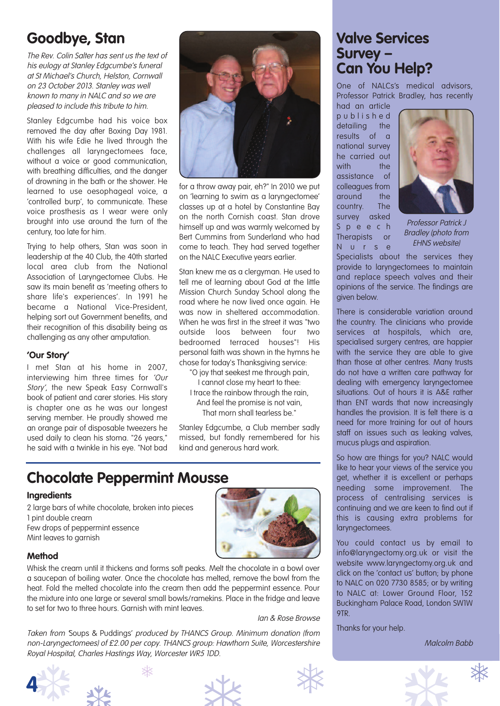# **Goodbye, Stan**

The Rev. Colin Salter has sent us the text of his eulogy at Stanley Edgcumbe's funeral at St Michael's Church, Helston, Cornwall on 23 October 2013. Stanley was well known to many in NALC and so we are pleased to include this tribute to him.

Stanley Edgcumbe had his voice box removed the day after Boxing Day 1981. With his wife Edie he lived through the challenges all laryngectomees face, without a voice or good communication, with breathing difficulties, and the danger of drowning in the bath or the shower. He learned to use oesophageal voice, a 'controlled burp', to communicate. These voice prosthesis as I wear were only brought into use around the turn of the century, too late for him.

Trying to help others, Stan was soon in leadership at the 40 Club, the 40th started local area club from the National Association of Laryngectomee Clubs. He saw its main benefit as 'meeting others to share life's experiences'. In 1991 he became a National Vice-President, helping sort out Government benefits, and their recognition of this disability being as challenging as any other amputation.

### **'Our Story'**

I met Stan at his home in 2007, interviewing him three times for 'Our Story', the new Speak Easy Cornwall's book of patient and carer stories. His story is chapter one as he was our longest serving member. He proudly showed me an orange pair of disposable tweezers he used daily to clean his stoma. "26 years," he said with a twinkle in his eye. "Not bad



for a throw away pair, eh?" In 2010 we put on 'learning to swim as a laryngectomee' classes up at a hotel by Constantine Bay on the north Cornish coast. Stan drove himself up and was warmly welcomed by Bert Cummins from Sunderland who had come to teach. They had served together on the NALC Executive years earlier.

Stan knew me as a clergyman. He used to tell me of learning about God at the little Mission Church Sunday School along the road where he now lived once again. He was now in sheltered accommodation. When he was first in the street it was "two outside loos between four two bedroomed terraced houses"! His personal faith was shown in the hymns he chose for today's Thanksgiving service:

- "O joy that seekest me through pain, I cannot close my heart to thee:
- I trace the rainbow through the rain, And feel the promise is not vain, That morn shall tearless be."

Stanley Edgcumbe, a Club member sadly missed, but fondly remembered for his kind and generous hard work.

# **Chocolate Peppermint Mousse**

### **Ingredients**

2 large bars of white chocolate, broken into pieces 1 pint double cream Few drops of peppermint essence Mint leaves to garnish



### **Method**

Whisk the cream until it thickens and forms soft peaks. Melt the chocolate in a bowl over a saucepan of boiling water. Once the chocolate has melted, remove the bowl from the heat. Fold the melted chocolate into the cream then add the peppermint essence. Pour the mixture into one large or several small bowls/ramekins. Place in the fridge and leave to set for two to three hours. Garnish with mint leaves.

Ian & Rose Browse

Royal Hospital, Charles Hastings Way, Worcester WR5 IDD. Taken from 'Soups & Puddings' produced by THANCS Group. Minimum donation (from non-Laryngectomees) of £2.00 per copy. THANCS group: Hawthorn Suite, Worcestershire Royal Hospital, Charles Hastings Way, Worcester WR5 1DD.







# **Valve Services Survey – Can You Help?**

One of NALCs's medical advisors, Professor Patrick Bradley, has recently

had an article p u b l i s h e d detailing the results of a national survey he carried out with the assistance of colleagues from around the country. The survey asked S p e e c h Therapists or N u r s e



Professor Patrick J Bradley (photo from EHNS website)

Specialists about the services they provide to laryngectomees to maintain and replace speech valves and their opinions of the service. The findings are given below.

There is considerable variation around the country. The clinicians who provide services at hospitals, which are, specialised surgery centres, are happier with the service they are able to give than those at other centres. Many trusts do not have a written care pathway for dealing with emergency laryngectomee situations. Out of hours it is A&E rather than ENT wards that now increasingly handles the provision. It is felt there is a need for more training for out of hours staff on issues such as leaking valves, mucus plugs and aspiration.

So how are things for you? NALC would like to hear your views of the service you get, whether it is excellent or perhaps needing some improvement. The process of centralising services is continuing and we are keen to find out if this is causing extra problems for laryngectomees.

You could contact us by email to info@laryngectomy.org.uk or visit the website www.laryngectomy.org.uk and click on the 'contact us' button; by phone to NALC on 020 7730 8585; or by writing to NALC at: Lower Ground Floor, 152 Buckingham Palace Road, London SW1W 9TR.

Thanks for your help.

Malcolm Babb

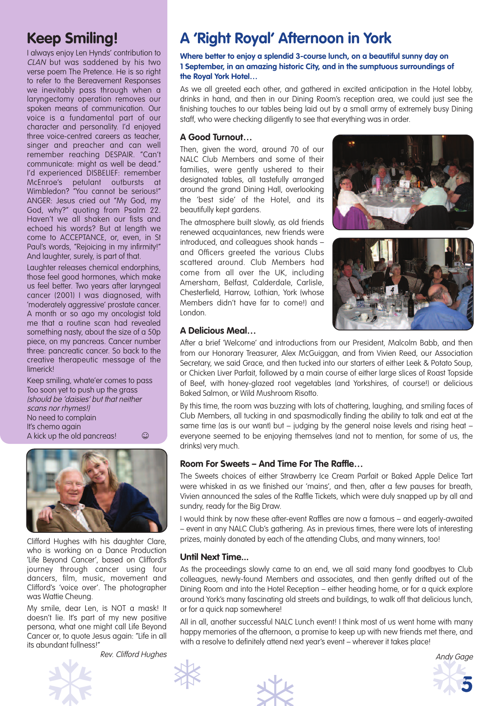# **Keep Smiling!**

I always enjoy Len Hynds' contribution to CLAN but was saddened by his two verse poem The Pretence. He is so right to refer to the Bereavement Responses we inevitably pass through when a laryngectomy operation removes our spoken means of communication. Our voice is a fundamental part of our character and personality. I'd enjoyed three voice-centred careers as teacher, singer and preacher and can well remember reaching DESPAIR. "Can't communicate: might as well be dead." I'd experienced DISBELIEF: remember McEnroe's petulant outbursts at Wimbledon? "You cannot be serious!" ANGER: Jesus cried out "My God, my God, why?" quoting from Psalm 22. Haven't we all shaken our fists and echoed his words? But at length we come to ACCEPTANCE, or, even, in St Paul's words, "Rejoicing in my infirmity!" And laughter, surely, is part of that.

Laughter releases chemical endorphins, those feel good hormones, which make us feel better. Two years after laryngeal cancer (2001) I was diagnosed, with 'moderately aggressive' prostate cancer. A month or so ago my oncologist told me that a routine scan had revealed something nasty, about the size of a 50p piece, on my pancreas. Cancer number three: pancreatic cancer. So back to the creative therapeutic message of the limerick!

Keep smiling, whate'er comes to pass Too soon yet to push up the grass (should be 'daisies' but that neither scans nor rhymes!) No need to complain It's chemo again A kick up the old pancreas! $\qquad \qquad \odot$ 



Clifford Hughes with his daughter Clare, who is working on a Dance Production 'Life Beyond Cancer', based on Clifford's journey through cancer using four dancers, film, music, movement and Clifford's 'voice over'. The photographer was Wattie Cheung.

My smile, dear Len, is NOT a mask! It doesn't lie. It's part of my new positive persona, what one might call Life Beyond Cancer or, to quote Jesus again: "Life in all its abundant fullness!"

Rev. Clifford Hughes

# its abundant fullness!"<br>
Rev. Clifford Hughes<br>
Prev. Clifford Hughes

# **A 'Right Royal' Afternoon in York**

**Where better to enjoy a splendid 3-course lunch, on a beautiful sunny day on 1 September, in an amazing historic City, and in the sumptuous surroundings of the Royal York Hotel…**

As we all greeted each other, and gathered in excited anticipation in the Hotel lobby, drinks in hand, and then in our Dining Room's reception area, we could just see the finishing touches to our tables being laid out by a small army of extremely busy Dining staff, who were checking diligently to see that everything was in order.

### **A Good Turnout…**

Then, given the word, around 70 of our NALC Club Members and some of their families, were gently ushered to their designated tables, all tastefully arranged around the grand Dining Hall, overlooking the 'best side' of the Hotel, and its beautifully kept gardens.

The atmosphere built slowly, as old friends renewed acquaintances, new friends were introduced, and colleagues shook hands – and Officers greeted the various Clubs scattered around. Club Members had come from all over the UK, including Amersham, Belfast, Calderdale, Carlisle, Chesterfield, Harrow, Lothian, York (whose Members didn't have far to come!) and London.





### **A Delicious Meal…**

After a brief 'Welcome' and introductions from our President, Malcolm Babb, and then from our Honorary Treasurer, Alex McGuiggan, and from Vivien Reed, our Association Secretary, we said Grace, and then tucked into our starters of either Leek & Potato Soup, or Chicken Liver Parfait, followed by a main course of either large slices of Roast Topside of Beef, with honey-glazed root vegetables (and Yorkshires, of course!) or delicious Baked Salmon, or Wild Mushroom Risotto.

By this time, the room was buzzing with lots of chattering, laughing, and smiling faces of Club Members, all tucking in and spasmodically finding the ability to talk and eat at the same time (as is our want) but – judging by the general noise levels and rising heat – everyone seemed to be enjoying themselves (and not to mention, for some of us, the drinks) very much.

## **Room For Sweets – And Time For The Raffle…**

The Sweets choices of either Strawberry Ice Cream Parfait or Baked Apple Delice Tart were whisked in as we finished our 'mains', and then, after a few pauses for breath, Vivien announced the sales of the Raffle Tickets, which were duly snapped up by all and sundry, ready for the Big Draw.

I would think by now these after-event Raffles are now a famous – and eagerly-awaited – event in any NALC Club's gathering. As in previous times, there were lots of interesting prizes, mainly donated by each of the attending Clubs, and many winners, too!

### **Until Next Time...**

As the proceedings slowly came to an end, we all said many fond goodbyes to Club colleagues, newly-found Members and associates, and then gently drifted out of the Dining Room and into the Hotel Reception – either heading home, or for a quick explore around York's many fascinating old streets and buildings, to walk off that delicious lunch, or for a quick nap somewhere!

All in all, another successful NALC Lunch event! I think most of us went home with many happy memories of the afternoon, a promise to keep up with new friends met there, and with a resolve to definitely attend next year's event – wherever it takes place!



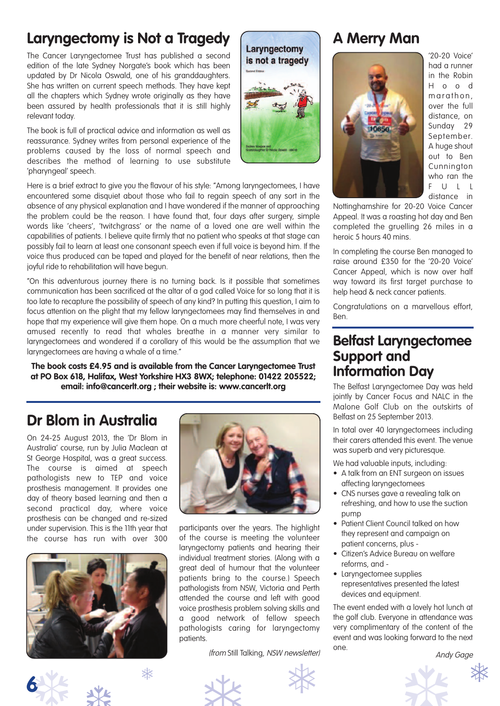# **Laryngectomy is Not a Tragedy**

The Cancer Laryngectomee Trust has published a second edition of the late Sydney Norgate's book which has been updated by Dr Nicola Oswald, one of his granddaughters. She has written on current speech methods. They have kept all the chapters which Sydney wrote originally as they have been assured by health professionals that it is still highly relevant today.

The book is full of practical advice and information as well as reassurance. Sydney writes from personal experience of the problems caused by the loss of normal speech and describes the method of learning to use substitute 'pharyngeal' speech.

Here is a brief extract to give you the flavour of his style: "Among laryngectomees, I have encountered some disquiet about those who fail to regain speech of any sort in the absence of any physical explanation and I have wondered if the manner of approaching the problem could be the reason. I have found that, four days after surgery, simple words like 'cheers', 'twitchgrass' or the name of a loved one are well within the capabilities of patients. I believe quite firmly that no patient who speaks at that stage can possibly fail to learn at least one consonant speech even if full voice is beyond him. If the voice thus produced can be taped and played for the benefit of near relations, then the joyful ride to rehabilitation will have begun.

"On this adventurous journey there is no turning back. Is it possible that sometimes communication has been sacrificed at the altar of a god called Voice for so long that it is too late to recapture the possibility of speech of any kind? In putting this question, I aim to focus attention on the plight that my fellow laryngectomees may find themselves in and hope that my experience will give them hope. On a much more cheerful note, I was very amused recently to read that whales breathe in a manner very similar to laryngectomees and wondered if a corollary of this would be the assumption that we laryngectomees are having a whale of a time."

**The book costs £4.95 and is available from the Cancer Laryngectomee Trust at PO Box 618, Halifax, West Yorkshire HX3 8WX; telephone: 01422 205522; email: info@cancerlt.org ; their website is: www.cancerlt.org**

# **Dr Blom in Australia**

On 24-25 August 2013, the 'Dr Blom in Australia' course, run by Julia Maclean at St George Hospital, was a great success. The course is aimed at speech pathologists new to TEP and voice prosthesis management. It provides one day of theory based learning and then a second practical day, where voice prosthesis can be changed and re-sized under supervision. This is the 11th year that the course has run with over 300







participants over the years. The highlight of the course is meeting the volunteer laryngectomy patients and hearing their individual treatment stories. (Along with a great deal of humour that the volunteer patients bring to the course.) Speech pathologists from NSW, Victoria and Perth attended the course and left with good voice prosthesis problem solving skills and a good network of fellow speech pathologists caring for laryngectomy patients.

(from Still Talking, NSW newsletter)



# **A Merry Man**



Laryngectomy



'20-20 Voice' had a runner in the Robin H o o d marathon, over the full distance, on Sunday 29 September. A huge shout out to Ben Cunnington who ran the F U L L distance in

Nottinghamshire for 20-20 Voice Cancer Appeal. It was a roasting hot day and Ben completed the gruelling 26 miles in a heroic 5 hours 40 mins.

In completing the course Ben managed to raise around £350 for the '20-20 Voice' Cancer Appeal, which is now over half way toward its first target purchase to help head & neck cancer patients.

Congratulations on a marvellous effort, Ben.

# **Belfast Laryngectomee Support and Information Day**

The Belfast Laryngectomee Day was held jointly by Cancer Focus and NALC in the Malone Golf Club on the outskirts of Belfast on 25 September 2013.

In total over 40 laryngectomees including their carers attended this event. The venue was superb and very picturesque.

We had valuable inputs, including:

- A talk from an ENT surgeon on issues affecting laryngectomees
- CNS nurses gave a revealing talk on refreshing, and how to use the suction pump
- Patient Client Council talked on how they represent and campaign on patient concerns, plus -
- Citizen's Advice Bureau on welfare reforms, and -
- Laryngectomee supplies representatives presented the latest devices and equipment.

The event ended with a lovely hot lunch at the golf club. Everyone in attendance was very complimentary of the content of the event and was looking forward to the next one.<br>
Andy Gage

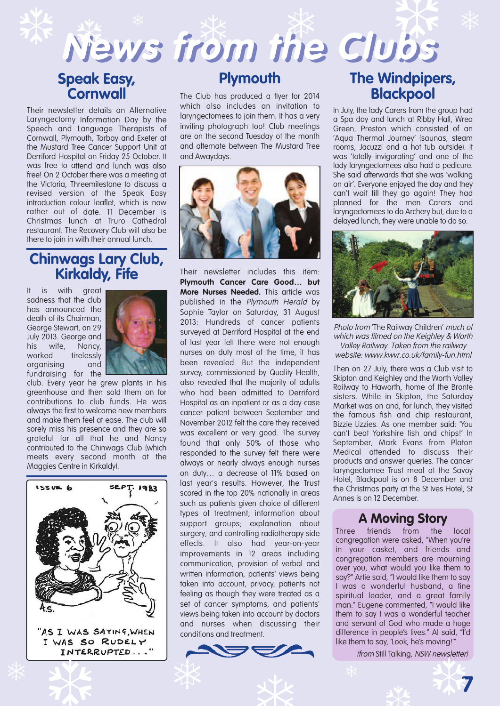# **Speak Easy, Cornwall**

Their newsletter details an Alternative Laryngectomy Information Day by the Speech and Language Therapists of Cornwall, Plymouth, Torbay and Exeter at the Mustard Tree Cancer Support Unit at Derriford Hospital on Friday 25 October. It was free to attend and lunch was also free! On 2 October there was <sup>a</sup> meeting at the Victoria, Threemilestone to discuss <sup>a</sup> revised version of the Speak Easy introduction colour leaflet, which is now rather out of date. 11 December is Christmas lunch at Truro Cathedral restaurant. The Recovery Club will also be there to join in with their annual lunch.

# **Chinwags Lary Club, Kirkaldy, Fife**

It is with great sadness that the club has announced the death of its Chairman, George Stewart, on 29 July 2013. George and his wife, Nancy, worked tirelessly organising and fundraising for the



club. Every year he grew plants in his greenhouse and then sold them on for contributions to club funds. He was always the first to welcome new members and make them feel at ease. The club will sorely miss his presence and they are so grateful for all that he and Nancy contributed to the Chinwags Club (which meets every second month at the Maggies Centre in Kirkaldy).



"AS I WAS SAYING, WHEN

# **Plymouth**

 $N$ ews from the Clubs  $\frac{1}{2}$   $\frac{1}{2}$   $\frac{1}{2}$   $\frac{1}{2}$   $\frac{1}{2}$   $\frac{1}{2}$   $\frac{1}{2}$ 

> The Club has produced a flyer for 2014 which also includes an invitation to laryngectomees to join them. It has a very inviting photograph too! Club meetings are on the second Tuesday of the month and alternate between The Mustard Tree and Awaydays.



Their newsletter includes this item: **Plymouth Cancer Care Good… but More Nurses Needed.** This article was published in the Plymouth Herald by Sophie Taylor on Saturday, 31 August 2013: Hundreds of cancer patients surveyed at Derriford Hospital at the end of last year felt there were not enough nurses on duty most of the time, it has been revealed. But the independent survey, commissioned by Quality Health, also revealed that the majority of adults who had been admitted to Derriford Hospital as an inpatient or as a day case cancer patient between September and November 2012 felt the care they received was excellent or very good. The survey found that only 50% of those who responded to the survey felt there were always or nearly always enough nurses on duty… a decrease of 11% based on last year's results. However, the Trust scored in the top 20% nationally in areas such as patients given choice of different types of treatment; information about support groups; explanation about surgery; and controlling radiotherapy side effects. It also had year-on-year improvements in 12 areas including communication, provision of verbal and written information, patients' views being taken into account, privacy, patients not feeling as though they were treated as a set of cancer symptoms, and patients' views being taken into account by doctors and nurses when discussing their conditions and treatment.



# **The Windpipers, Blackpool**

In July, the lady Carers from the group had a Spa day and lunch at Ribby Hall, Wrea Green, Preston which consisted of an 'Aqua Thermal Journey' (saunas, steam rooms, Jacuzzi and a hot tub outside). It was 'totally invigorating' and one of the lady laryngectomees also had a pedicure. She said afterwards that she was 'walking on air'. Everyone enjoyed the day and they can't wait till they go again! They had planned for the men Carers and laryngectomees to do Archery but, due to a delayed lunch, they were unable to do so.



Photo from 'The Railway Children' much of which was filmed on the Keighley & Worth Valley Railway. Taken from the railway website: www.kwvr.co.uk/family-fun.html

Then on 27 July, there was a Club visit to Skipton and Keighley and the Worth Valley Railway to Haworth, home of the Bronte sisters. While in Skipton, the Saturday Market was on and, for lunch, they visited the famous fish and chip restaurant, Bizzie Lizzies. As one member said: 'You can't beat Yorkshire fish and chips!' In September, Mark Evans from Platon Medical attended to discuss their products and answer queries. The cancer laryngectomee Trust meal at the Savoy Hotel, Blackpool is on 8 December and the Christmas party at the St Ives Hotel, St Annes is on 12 December.

# **A Moving Story**

Three friends from the local congregation were asked, "When you're in your casket, and friends and congregation members are mourning over you, what would you like them to say?" Artie said, "I would like them to say I was a wonderful husband, a fine spiritual leader, and a great family man." Eugene commented, "I would like them to say I was a wonderful teacher and servant of God who made a huge difference in people's lives." Al said, "I'd like them to say, 'Look, he's moving!'"

(from Still Talking, NSW newsletter)